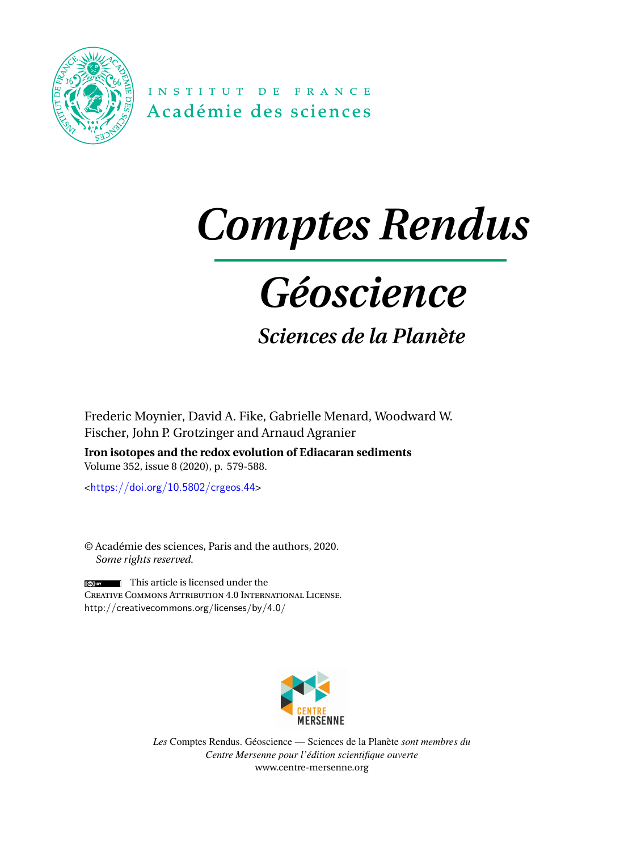

INSTITUT DE FRANCE Académie des sciences

# *Comptes Rendus*

## *Géoscience*

### *Sciences de la Planète*

Frederic Moynier, David A. Fike, Gabrielle Menard, Woodward W. Fischer, John P. Grotzinger and Arnaud Agranier

**Iron isotopes and the redox evolution of Ediacaran sediments** Volume 352, issue 8 (2020), p. 579-588.

<<https://doi.org/10.5802/crgeos.44>>

© Académie des sciences, Paris and the authors, 2020. *Some rights reserved.*

This article is licensed under the Creative Commons Attribution 4.0 International License. <http://creativecommons.org/licenses/by/4.0/>



*Les* Comptes Rendus. Géoscience — Sciences de la Planète *sont membres du Centre Mersenne pour l'édition scientifique ouverte* [www.centre-mersenne.org](https://www.centre-mersenne.org)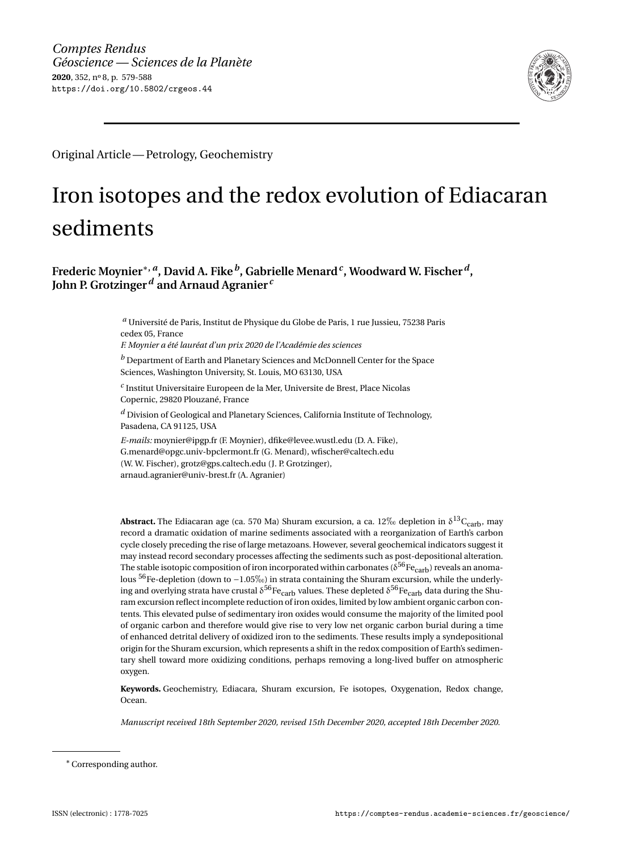

Original Article— Petrology, Geochemistry

### Iron isotopes and the redox evolution of Ediacaran sediments

**Frederic Moynier**∗**,** *<sup>a</sup>* **, David A. Fike***<sup>b</sup>* **, Gabrielle Menard***<sup>c</sup>* **, Woodward W. Fischer***<sup>d</sup>* **, John P. Grotzinger***<sup>d</sup>* **and Arnaud Agranier** *<sup>c</sup>*

> *<sup>a</sup>* Université de Paris, Institut de Physique du Globe de Paris, 1 rue Jussieu, 75238 Paris cedex 05, France

*F. Moynier a été lauréat d'un prix 2020 de l'Académie des sciences*

*<sup>b</sup>* Department of Earth and Planetary Sciences and McDonnell Center for the Space Sciences, Washington University, St. Louis, MO 63130, USA

*c* Institut Universitaire Europeen de la Mer, Universite de Brest, Place Nicolas Copernic, 29820 Plouzané, France

*<sup>d</sup>* Division of Geological and Planetary Sciences, California Institute of Technology, Pasadena, CA 91125, USA

*E-mails:* [moynier@ipgp.fr](mailto:moynier@ipgp.fr) (F. Moynier), [dfike@levee.wustl.edu](mailto:dfike@levee.wustl.edu) (D. A. Fike), [G.menard@opgc.univ-bpclermont.fr](mailto:G.menard@opgc.univ-bpclermont.fr) (G. Menard), [wfischer@caltech.edu](mailto:wfischer@caltech.edu) (W. W. Fischer), [grotz@gps.caltech.edu](mailto:grotz@gps.caltech.edu) (J. P. Grotzinger), [arnaud.agranier@univ-brest.fr](mailto:arnaud.agranier@univ-brest.fr) (A. Agranier)

**Abstract.** The Ediacaran age (ca. 570 Ma) Shuram excursion, a ca. 12‰ depletion in  $\delta^{13}C_{\text{carb}}$ , may record a dramatic oxidation of marine sediments associated with a reorganization of Earth's carbon cycle closely preceding the rise of large metazoans. However, several geochemical indicators suggest it may instead record secondary processes affecting the sediments such as post-depositional alteration. The stable isotopic composition of iron incorporated within carbonates ( $\delta^{56}$ Fe<sub>carb</sub>) reveals an anomalous <sup>56</sup>Fe-depletion (down to −1.05‰) in strata containing the Shuram excursion, while the underlying and overlying strata have crustal  $\delta^{56}$ Fe<sub>carb</sub> values. These depleted  $\delta^{56}$ Fe<sub>carb</sub> data during the Shuram excursion reflect incomplete reduction of iron oxides, limited by low ambient organic carbon contents. This elevated pulse of sedimentary iron oxides would consume the majority of the limited pool of organic carbon and therefore would give rise to very low net organic carbon burial during a time of enhanced detrital delivery of oxidized iron to the sediments. These results imply a syndepositional origin for the Shuram excursion, which represents a shift in the redox composition of Earth's sedimentary shell toward more oxidizing conditions, perhaps removing a long-lived buffer on atmospheric oxygen.

**Keywords.** Geochemistry, Ediacara, Shuram excursion, Fe isotopes, Oxygenation, Redox change, Ocean.

*Manuscript received 18th September 2020, revised 15th December 2020, accepted 18th December 2020.*

<sup>∗</sup>Corresponding author.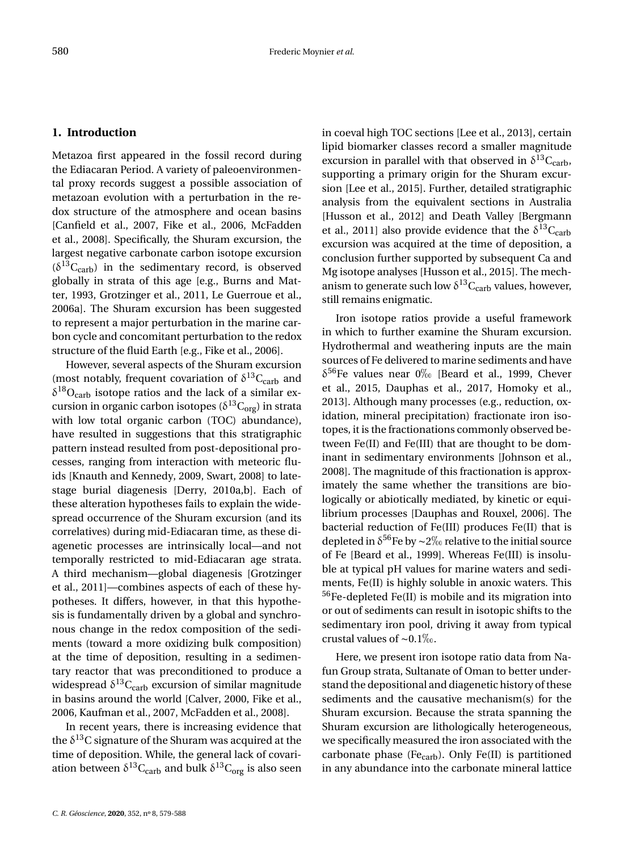#### **1. Introduction**

Metazoa first appeared in the fossil record during the Ediacaran Period. A variety of paleoenvironmental proxy records suggest a possible association of metazoan evolution with a perturbation in the redox structure of the atmosphere and ocean basins [\[Canfield et al.,](#page-8-0) [2007,](#page-8-0) [Fike et al.,](#page-9-0) [2006,](#page-9-0) [McFadden](#page-9-1) [et al.,](#page-9-1) [2008\]](#page-9-1). Specifically, the Shuram excursion, the largest negative carbonate carbon isotope excursion  $(\delta^{13}C_{\rm carb})$  in the sedimentary record, is observed globally in strata of this age [e.g., [Burns and Mat](#page-8-1)[ter,](#page-8-1) [1993,](#page-8-1) [Grotzinger et al.,](#page-9-2) [2011,](#page-9-2) [Le Guerroue et al.,](#page-9-3) [2006a\]](#page-9-3). The Shuram excursion has been suggested to represent a major perturbation in the marine carbon cycle and concomitant perturbation to the redox structure of the fluid Earth [e.g., [Fike et al.,](#page-9-0) [2006\]](#page-9-0).

However, several aspects of the Shuram excursion (most notably, frequent covariation of  $\delta^{13}C_{\rm carb}$  and  $\delta^{18}O_{\rm carb}$  isotope ratios and the lack of a similar excursion in organic carbon isotopes ( $\delta^{13}C_{org}$ ) in strata with low total organic carbon (TOC) abundance), have resulted in suggestions that this stratigraphic pattern instead resulted from post-depositional processes, ranging from interaction with meteoric fluids [\[Knauth and Kennedy,](#page-9-4) [2009,](#page-9-4) [Swart,](#page-10-0) [2008\]](#page-10-0) to latestage burial diagenesis [\[Derry,](#page-8-2) [2010a,](#page-8-2)[b\]](#page-8-3). Each of these alteration hypotheses fails to explain the widespread occurrence of the Shuram excursion (and its correlatives) during mid-Ediacaran time, as these diagenetic processes are intrinsically local—and not temporally restricted to mid-Ediacaran age strata. A third mechanism—global diagenesis [\[Grotzinger](#page-9-2) [et al.,](#page-9-2) [2011\]](#page-9-2)—combines aspects of each of these hypotheses. It differs, however, in that this hypothesis is fundamentally driven by a global and synchronous change in the redox composition of the sediments (toward a more oxidizing bulk composition) at the time of deposition, resulting in a sedimentary reactor that was preconditioned to produce a widespread  $\delta^{13}\text{C}_{\rm carb}$  excursion of similar magnitude in basins around the world [\[Calver,](#page-8-4) [2000,](#page-8-4) [Fike et al.,](#page-9-0) [2006,](#page-9-0) [Kaufman et al.,](#page-9-5) [2007,](#page-9-5) [McFadden et al.,](#page-9-1) [2008\]](#page-9-1).

In recent years, there is increasing evidence that the  $\delta^{13}$ C signature of the Shuram was acquired at the time of deposition. While, the general lack of covariation between  $\delta^{13}\text{C}_{\rm carb}$  and bulk  $\delta^{13}\text{C}_{\rm org}$  is also seen

in coeval high TOC sections [\[Lee et al.,](#page-9-6) [2013\]](#page-9-6), certain lipid biomarker classes record a smaller magnitude excursion in parallel with that observed in  $\delta^{13}C_{\rm carb}$ , supporting a primary origin for the Shuram excursion [\[Lee et al.,](#page-9-7) [2015\]](#page-9-7). Further, detailed stratigraphic analysis from the equivalent sections in Australia [\[Husson et al.,](#page-9-8) [2012\]](#page-9-8) and Death Valley [\[Bergmann](#page-8-5) [et al.,](#page-8-5) [2011\]](#page-8-5) also provide evidence that the  $\delta^{13}C_{\rm carb}$ excursion was acquired at the time of deposition, a conclusion further supported by subsequent Ca and Mg isotope analyses [\[Husson et al.,](#page-9-9) [2015\]](#page-9-9). The mechanism to generate such low  $\delta^{13}C_{\rm carb}$  values, however, still remains enigmatic.

Iron isotope ratios provide a useful framework in which to further examine the Shuram excursion. Hydrothermal and weathering inputs are the main sources of Fe delivered to marine sediments and have  $\delta^{56}$ Fe values near 0\% [\[Beard et al.,](#page-8-6) [1999,](#page-8-6) [Chever](#page-8-7) [et al.,](#page-8-7) [2015,](#page-8-7) [Dauphas et al.,](#page-8-8) [2017,](#page-8-8) [Homoky et al.,](#page-9-10) [2013\]](#page-9-10). Although many processes (e.g., reduction, oxidation, mineral precipitation) fractionate iron isotopes, it is the fractionations commonly observed between Fe(II) and Fe(III) that are thought to be dominant in sedimentary environments [\[Johnson et al.,](#page-9-11) [2008\]](#page-9-11). The magnitude of this fractionation is approximately the same whether the transitions are biologically or abiotically mediated, by kinetic or equilibrium processes [\[Dauphas and Rouxel,](#page-8-9) [2006\]](#page-8-9). The bacterial reduction of Fe(III) produces Fe(II) that is depleted in  $\delta^{56}$ Fe by ∼2‰ relative to the initial source of Fe [\[Beard et al.,](#page-8-6) [1999\]](#page-8-6). Whereas Fe(III) is insoluble at typical pH values for marine waters and sediments, Fe(II) is highly soluble in anoxic waters. This <sup>56</sup>Fe-depleted Fe(II) is mobile and its migration into or out of sediments can result in isotopic shifts to the sedimentary iron pool, driving it away from typical crustal values of ~0.1‰.

Here, we present iron isotope ratio data from Nafun Group strata, Sultanate of Oman to better understand the depositional and diagenetic history of these sediments and the causative mechanism(s) for the Shuram excursion. Because the strata spanning the Shuram excursion are lithologically heterogeneous, we specifically measured the iron associated with the carbonate phase (Fe<sub>carb</sub>). Only Fe(II) is partitioned in any abundance into the carbonate mineral lattice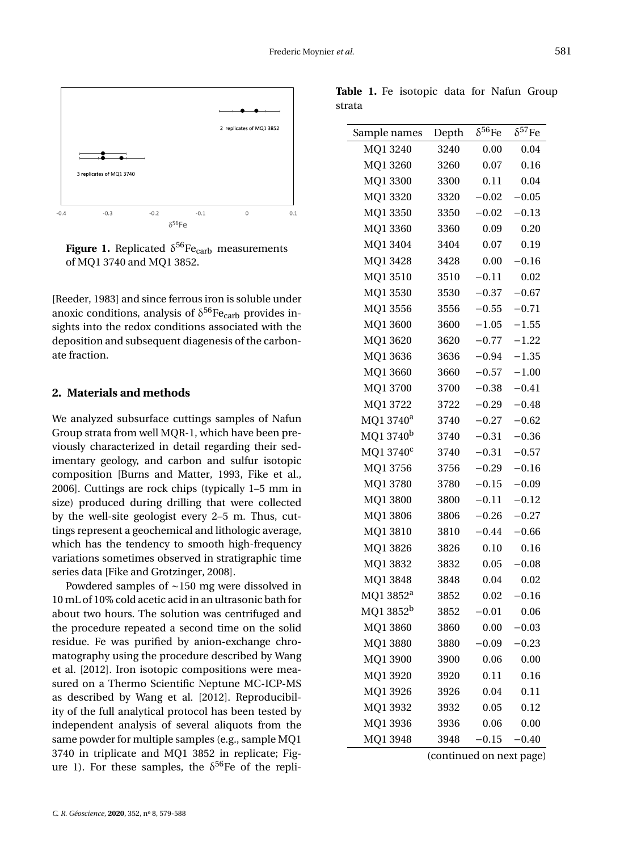

<span id="page-3-0"></span>**Figure 1.** Replicated  $\delta^{56}\text{Fe}_{\text{carb}}$  measurements of MQ1 3740 and MQ1 3852.

[\[Reeder,](#page-9-12) [1983\]](#page-9-12) and since ferrous iron is soluble under anoxic conditions, analysis of  $\delta^{56}$ Fe<sub>carb</sub> provides insights into the redox conditions associated with the deposition and subsequent diagenesis of the carbonate fraction.

#### **2. Materials and methods**

We analyzed subsurface cuttings samples of Nafun Group strata from well MQR-1, which have been previously characterized in detail regarding their sedimentary geology, and carbon and sulfur isotopic composition [\[Burns and Matter,](#page-8-1) [1993,](#page-8-1) [Fike et al.,](#page-9-0) [2006\]](#page-9-0). Cuttings are rock chips (typically 1–5 mm in size) produced during drilling that were collected by the well-site geologist every 2–5 m. Thus, cuttings represent a geochemical and lithologic average, which has the tendency to smooth high-frequency variations sometimes observed in stratigraphic time series data [\[Fike and Grotzinger,](#page-8-10) [2008\]](#page-8-10).

Powdered samples of ∼150 mg were dissolved in 10 mL of 10% cold acetic acid in an ultrasonic bath for about two hours. The solution was centrifuged and the procedure repeated a second time on the solid residue. Fe was purified by anion-exchange chromatography using the procedure described by [Wang](#page-10-1) [et al.](#page-10-1) [\[2012\]](#page-10-1). Iron isotopic compositions were measured on a Thermo Scientific Neptune MC-ICP-MS as described by [Wang et al.](#page-10-1) [\[2012\]](#page-10-1). Reproducibility of the full analytical protocol has been tested by independent analysis of several aliquots from the same powder for multiple samples (e.g., sample MQ1 3740 in triplicate and MQ1 3852 in replicate; Fig-ure [1\)](#page-3-0). For these samples, the  $\delta^{56}$ Fe of the repli-

<span id="page-3-1"></span>

|        |  | Table 1. Fe isotopic data for Nafun Group |  |  |
|--------|--|-------------------------------------------|--|--|
| strata |  |                                           |  |  |

| Sample names          | Depth | $\delta^{56}$ Fe | $\delta^{57}$ Fe |
|-----------------------|-------|------------------|------------------|
| MQ1 3240              | 3240  | 0.00             | 0.04             |
| MQ1 3260              | 3260  | 0.07             | 0.16             |
| MQ1 3300              | 3300  | 0.11             | 0.04             |
| MQ1 3320              | 3320  | $-0.02$          | $-0.05$          |
| MQ1 3350              | 3350  | $-0.02$          | $-0.13$          |
| MQ1 3360              | 3360  | 0.09             | 0.20             |
| MQ1 3404              | 3404  | 0.07             | 0.19             |
| MQ1 3428              | 3428  | 0.00             | $-0.16$          |
| MQ13510               | 3510  | $-0.11$          | 0.02             |
| MQ1 3530              | 3530  | $-0.37$          | $-0.67$          |
| MQ1 3556              | 3556  | $-0.55$          | $-0.71$          |
| MQ1 3600              | 3600  | $-1.05$          | $-1.55$          |
| MQ1 3620              | 3620  | $-0.77$          | $-1.22$          |
| MQ1 3636              | 3636  | $-0.94$          | $-1.35$          |
| MQ1 3660              | 3660  | $-0.57$          | $-1.00$          |
| MQ1 3700              | 3700  | $-0.38$          | $-0.41$          |
| MQ1 3722              | 3722  | $-0.29$          | $-0.48$          |
| MQ1 3740 <sup>a</sup> | 3740  | $-0.27$          | $-0.62$          |
| MQ1 3740 <sup>b</sup> | 3740  | $-0.31$          | $-0.36$          |
| MQ1 3740 <sup>c</sup> | 3740  | $-0.31$          | $-0.57$          |
| MQ1 3756              | 3756  | $-0.29$          | $-0.16$          |
| MQ13780               | 3780  | $-0.15$          | $-0.09$          |
| MQ1 3800              | 3800  | $-0.11$          | $-0.12$          |
| MQ1 3806              | 3806  | $-0.26$          | $-0.27$          |
| MQ13810               | 3810  | $-0.44$          | $-0.66$          |
| MQ1 3826              | 3826  | 0.10             | 0.16             |
| MQ1 3832              | 3832  | 0.05             | $-0.08$          |
| MQ1 3848              | 3848  | 0.04             | 0.02             |
| MQ1 3852 <sup>a</sup> | 3852  | 0.02             | $-0.16$          |
| MQ1 3852 <sup>b</sup> | 3852  | $-0.01$          | 0.06             |
| MQ1 3860              | 3860  | 0.00             | $-0.03$          |
| MQ1 3880              | 3880  | $-0.09$          | $-0.23$          |
| MQ1 3900              | 3900  | 0.06             | 0.00             |
| MQ1 3920              | 3920  | 0.11             | 0.16             |
| MQ1 3926              | 3926  | 0.04             | 0.11             |
| MQ1 3932              | 3932  | 0.05             | 0.12             |
| MQ1 3936              | 3936  | 0.06             | 0.00             |
| MO1 3948              | 3948  | $-0.15$          | $-0.40$          |

(continued on next page)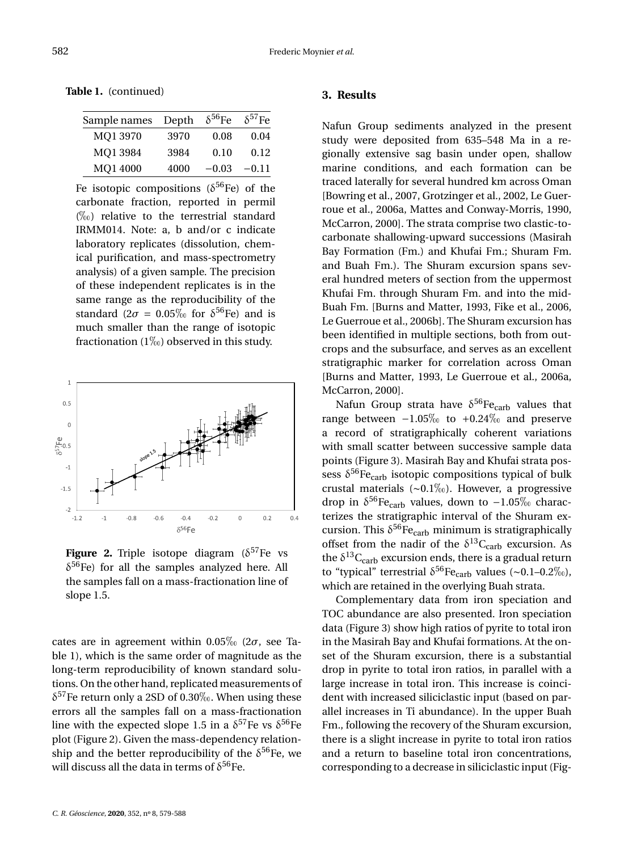**Table 1.** (continued)

| Sample names | Depth | $\delta^{56}$ Fe | $\delta^{57}$ Fe |
|--------------|-------|------------------|------------------|
| MO1 3970     | 3970  | 0.08             | 0.04             |
| MO1 3984     | 3984  | 0.10             | 0.12             |
| MQ1 4000     | 4000  | $-0.03$          | $-0.11$          |

Fe isotopic compositions ( $\delta^{56}$ Fe) of the carbonate fraction, reported in permil  $(\%)$  relative to the terrestrial standard IRMM014. Note: a, b and/or c indicate laboratory replicates (dissolution, chemical purification, and mass-spectrometry analysis) of a given sample. The precision of these independent replicates is in the same range as the reproducibility of the standard  $(2\sigma = 0.05\% \text{ for } \delta^{56}\text{Fe})$  and is much smaller than the range of isotopic fractionation (1\%) observed in this study.



<span id="page-4-0"></span>Figure 2. Triple isotope diagram  $(\delta^{57}$ Fe vs  $\delta^{56}$ Fe) for all the samples analyzed here. All the samples fall on a mass-fractionation line of slope 1.5.

cates are in agreement within  $0.05\%$  (2 $\sigma$ , see Table [1\)](#page-3-1), which is the same order of magnitude as the long-term reproducibility of known standard solutions. On the other hand, replicated measurements of  $\delta^{57}$ Fe return only a 2SD of 0.30‰. When using these errors all the samples fall on a mass-fractionation line with the expected slope 1.5 in a  $\delta^{57}$ Fe vs  $\delta^{56}$ Fe plot (Figure [2\)](#page-4-0). Given the mass-dependency relationship and the better reproducibility of the  $\delta^{56}$ Fe, we will discuss all the data in terms of  $\delta^{56}$ Fe.

#### **3. Results**

Nafun Group sediments analyzed in the present study were deposited from 635–548 Ma in a regionally extensive sag basin under open, shallow marine conditions, and each formation can be traced laterally for several hundred km across Oman [\[Bowring et al.,](#page-8-11) [2007,](#page-8-11) [Grotzinger et al.,](#page-9-13) [2002,](#page-9-13) [Le Guer](#page-9-3)[roue et al.,](#page-9-3) [2006a,](#page-9-3) [Mattes and Conway-Morris,](#page-9-14) [1990,](#page-9-14) [McCarron,](#page-9-15) [2000\]](#page-9-15). The strata comprise two clastic-tocarbonate shallowing-upward successions (Masirah Bay Formation (Fm.) and Khufai Fm.; Shuram Fm. and Buah Fm.). The Shuram excursion spans several hundred meters of section from the uppermost Khufai Fm. through Shuram Fm. and into the mid-Buah Fm. [\[Burns and Matter,](#page-8-1) [1993,](#page-8-1) [Fike et al.,](#page-9-0) [2006,](#page-9-0) [Le Guerroue et al.,](#page-9-16) [2006b\]](#page-9-16). The Shuram excursion has been identified in multiple sections, both from outcrops and the subsurface, and serves as an excellent stratigraphic marker for correlation across Oman [\[Burns and Matter,](#page-8-1) [1993,](#page-8-1) [Le Guerroue et al.,](#page-9-3) [2006a,](#page-9-3) [McCarron,](#page-9-15) [2000\]](#page-9-15).

Nafun Group strata have  $\delta^{56}$ Fe<sub>carb</sub> values that range between  $-1.05\%$  to  $+0.24\%$  and preserve a record of stratigraphically coherent variations with small scatter between successive sample data points (Figure [3\)](#page-5-0). Masirah Bay and Khufai strata possess  $\delta^{56}$ Fe<sub>carb</sub> isotopic compositions typical of bulk crustal materials (~0.1‰). However, a progressive drop in  $\delta^{56}$ Fe<sub>carb</sub> values, down to −1.05% characterizes the stratigraphic interval of the Shuram excursion. This  $\delta^{56}$ Fe<sub>carb</sub> minimum is stratigraphically offset from the nadir of the  $\delta^{13}C_{\rm carb}$  excursion. As the  $\delta^{13}C_{\rm carb}$  excursion ends, there is a gradual return to "typical" terrestrial  $\delta^{56}$ Fe<sub>carb</sub> values (~0.1–0.2‰), which are retained in the overlying Buah strata.

Complementary data from iron speciation and TOC abundance are also presented. Iron speciation data (Figure [3\)](#page-5-0) show high ratios of pyrite to total iron in the Masirah Bay and Khufai formations. At the onset of the Shuram excursion, there is a substantial drop in pyrite to total iron ratios, in parallel with a large increase in total iron. This increase is coincident with increased siliciclastic input (based on parallel increases in Ti abundance). In the upper Buah Fm., following the recovery of the Shuram excursion, there is a slight increase in pyrite to total iron ratios and a return to baseline total iron concentrations, corresponding to a decrease in siliciclastic input (Fig-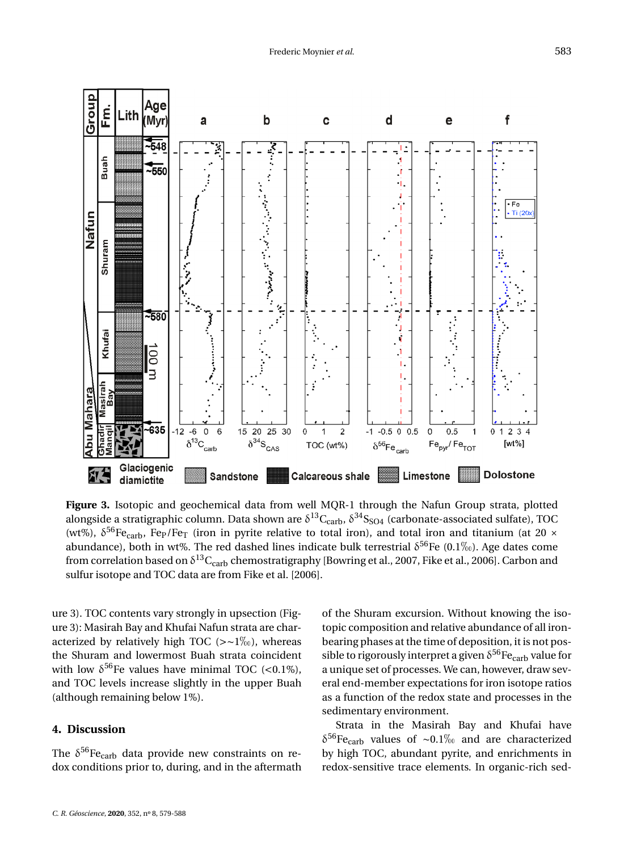

<span id="page-5-0"></span>**Figure 3.** Isotopic and geochemical data from well MQR-1 through the Nafun Group strata, plotted alongside a stratigraphic column. Data shown are  $\delta^{13}C_{\rm carb}$ ,  $\delta^{34}S_{\rm SO4}$  (carbonate-associated sulfate), TOC (wt%),  $\delta^{56}$ Fe<sub>carb</sub>, Fe<sub>P</sub>/Fe<sub>T</sub> (iron in pyrite relative to total iron), and total iron and titanium (at 20 × abundance), both in wt%. The red dashed lines indicate bulk terrestrial  $\delta^{56}$ Fe (0.1\%). Age dates come from correlation based on  $\delta^{13}\rm{C_{carb}}$  chemostratigraphy [\[Bowring et al.,](#page-8-11) [2007,](#page-8-11) [Fike et al.,](#page-9-0) [2006\]](#page-9-0). Carbon and sulfur isotope and TOC data are from [Fike et al.](#page-9-0) [\[2006\]](#page-9-0).

ure [3\)](#page-5-0). TOC contents vary strongly in upsection (Figure [3\)](#page-5-0): Masirah Bay and Khufai Nafun strata are characterized by relatively high TOC (>∼1‰), whereas the Shuram and lowermost Buah strata coincident with low  $\delta^{56}$ Fe values have minimal TOC (<0.1%), and TOC levels increase slightly in the upper Buah (although remaining below 1%).

#### **4. Discussion**

The  $\delta^{56}$ Fe<sub>carb</sub> data provide new constraints on redox conditions prior to, during, and in the aftermath of the Shuram excursion. Without knowing the isotopic composition and relative abundance of all ironbearing phases at the time of deposition, it is not possible to rigorously interpret a given  $\delta^{56}$  Fe<sub>carb</sub> value for a unique set of processes. We can, however, draw several end-member expectations for iron isotope ratios as a function of the redox state and processes in the sedimentary environment.

Strata in the Masirah Bay and Khufai have  $\delta^{56}$ Fe<sub>carb</sub> values of ∼0.1‰ and are characterized by high TOC, abundant pyrite, and enrichments in redox-sensitive trace elements. In organic-rich sed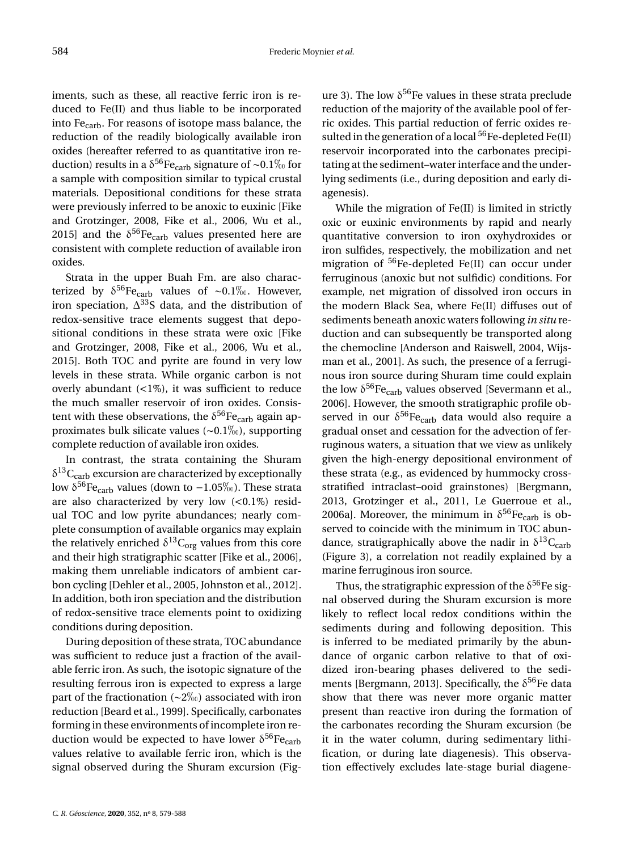iments, such as these, all reactive ferric iron is reduced to Fe(II) and thus liable to be incorporated into Fecarb. For reasons of isotope mass balance, the reduction of the readily biologically available iron oxides (hereafter referred to as quantitative iron reduction) results in a  $\delta^{56}$ Fe<sub>carb</sub> signature of ∼0.1‰ for a sample with composition similar to typical crustal materials. Depositional conditions for these strata were previously inferred to be anoxic to euxinic [\[Fike](#page-8-10) [and Grotzinger,](#page-8-10) [2008,](#page-8-10) [Fike et al.,](#page-9-0) [2006,](#page-9-0) [Wu et al.,](#page-10-2) [2015\]](#page-10-2) and the  $\delta^{56}$ Fe<sub>carb</sub> values presented here are consistent with complete reduction of available iron oxides.

Strata in the upper Buah Fm. are also characterized by  $\delta^{56}$ Fe<sub>carb</sub> values of ~0.1‰. However, iron speciation,  $\Delta^{33}S$  data, and the distribution of redox-sensitive trace elements suggest that depositional conditions in these strata were oxic [\[Fike](#page-8-10) [and Grotzinger,](#page-8-10) [2008,](#page-8-10) [Fike et al.,](#page-9-0) [2006,](#page-9-0) [Wu et al.,](#page-10-2) [2015\]](#page-10-2). Both TOC and pyrite are found in very low levels in these strata. While organic carbon is not overly abundant (<1%), it was sufficient to reduce the much smaller reservoir of iron oxides. Consistent with these observations, the  $\delta^{56}$ Fe<sub>carb</sub> again approximates bulk silicate values ( $\sim 0.1\%$ ), supporting complete reduction of available iron oxides.

In contrast, the strata containing the Shuram  $\delta^{13}C_{\rm carb}$  excursion are characterized by exceptionally low  $\delta^{56}$ Fe<sub>carb</sub> values (down to -1.05‰). These strata are also characterized by very low  $( $0.1\%$ )$  residual TOC and low pyrite abundances; nearly complete consumption of available organics may explain the relatively enriched  $\delta^{13}C_{org}$  values from this core and their high stratigraphic scatter [\[Fike et al.,](#page-9-0) [2006\]](#page-9-0), making them unreliable indicators of ambient carbon cycling [\[Dehler et al.,](#page-8-12) [2005,](#page-8-12) [Johnston et al.,](#page-9-17) [2012\]](#page-9-17). In addition, both iron speciation and the distribution of redox-sensitive trace elements point to oxidizing conditions during deposition.

During deposition of these strata, TOC abundance was sufficient to reduce just a fraction of the available ferric iron. As such, the isotopic signature of the resulting ferrous iron is expected to express a large part of the fractionation ( $\sim$ 2‰) associated with iron reduction [\[Beard et al.,](#page-8-6) [1999\]](#page-8-6). Specifically, carbonates forming in these environments of incomplete iron reduction would be expected to have lower  $\delta^{56}\text{Fe}_{\text{carb}}$ values relative to available ferric iron, which is the signal observed during the Shuram excursion (Fig-

ure [3\)](#page-5-0). The low  $\delta^{56}$  Fe values in these strata preclude reduction of the majority of the available pool of ferric oxides. This partial reduction of ferric oxides resulted in the generation of a local  ${}^{56}Fe$ -depleted Fe(II) reservoir incorporated into the carbonates precipitating at the sediment–water interface and the underlying sediments (i.e., during deposition and early diagenesis).

While the migration of Fe(II) is limited in strictly oxic or euxinic environments by rapid and nearly quantitative conversion to iron oxyhydroxides or iron sulfides, respectively, the mobilization and net migration of  ${}^{56}$ Fe-depleted Fe(II) can occur under ferruginous (anoxic but not sulfidic) conditions. For example, net migration of dissolved iron occurs in the modern Black Sea, where Fe(II) diffuses out of sediments beneath anoxic waters following *in situ* reduction and can subsequently be transported along the chemocline [\[Anderson and Raiswell,](#page-8-13) [2004,](#page-8-13) [Wijs](#page-10-3)[man et al.,](#page-10-3) [2001\]](#page-10-3). As such, the presence of a ferruginous iron source during Shuram time could explain the low  $\delta^{56}$ Fe<sub>carb</sub> values observed [\[Severmann et al.,](#page-9-18) [2006\]](#page-9-18). However, the smooth stratigraphic profile observed in our  $\delta^{56}$  Fe<sub>carb</sub> data would also require a gradual onset and cessation for the advection of ferruginous waters, a situation that we view as unlikely given the high-energy depositional environment of these strata (e.g., as evidenced by hummocky crossstratified intraclast–ooid grainstones) [\[Bergmann,](#page-8-14) [2013,](#page-8-14) [Grotzinger et al.,](#page-9-2) [2011,](#page-9-2) [Le Guerroue et al.,](#page-9-3) [2006a\]](#page-9-3). Moreover, the minimum in  $\delta^{56}$  Fe<sub>carb</sub> is observed to coincide with the minimum in TOC abundance, stratigraphically above the nadir in  $\delta^{13}C_{\text{carb}}$ (Figure [3\)](#page-5-0), a correlation not readily explained by a marine ferruginous iron source.

Thus, the stratigraphic expression of the  $\delta^{56}$ Fe signal observed during the Shuram excursion is more likely to reflect local redox conditions within the sediments during and following deposition. This is inferred to be mediated primarily by the abundance of organic carbon relative to that of oxidized iron-bearing phases delivered to the sedi-ments [\[Bergmann,](#page-8-14) [2013\]](#page-8-14). Specifically, the  $\delta^{56}$ Fe data show that there was never more organic matter present than reactive iron during the formation of the carbonates recording the Shuram excursion (be it in the water column, during sedimentary lithification, or during late diagenesis). This observation effectively excludes late-stage burial diagene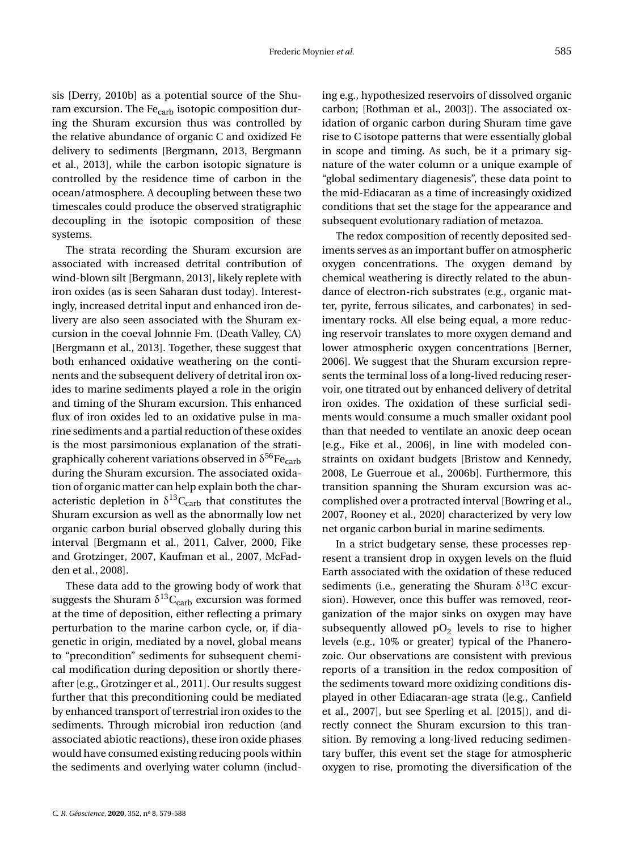sis [\[Derry,](#page-8-3) [2010b\]](#page-8-3) as a potential source of the Shuram excursion. The  $Fe<sub>carb</sub>$  isotopic composition during the Shuram excursion thus was controlled by the relative abundance of organic C and oxidized Fe delivery to sediments [\[Bergmann,](#page-8-14) [2013,](#page-8-14) [Bergmann](#page-8-15) [et al.,](#page-8-15) [2013\]](#page-8-15), while the carbon isotopic signature is controlled by the residence time of carbon in the ocean/atmosphere. A decoupling between these two timescales could produce the observed stratigraphic decoupling in the isotopic composition of these systems.

The strata recording the Shuram excursion are associated with increased detrital contribution of wind-blown silt [\[Bergmann,](#page-8-14) [2013\]](#page-8-14), likely replete with iron oxides (as is seen Saharan dust today). Interestingly, increased detrital input and enhanced iron delivery are also seen associated with the Shuram excursion in the coeval Johnnie Fm. (Death Valley, CA) [\[Bergmann et al.,](#page-8-15) [2013\]](#page-8-15). Together, these suggest that both enhanced oxidative weathering on the continents and the subsequent delivery of detrital iron oxides to marine sediments played a role in the origin and timing of the Shuram excursion. This enhanced flux of iron oxides led to an oxidative pulse in marine sediments and a partial reduction of these oxides is the most parsimonious explanation of the stratigraphically coherent variations observed in  $\delta^{56}\mathrm{Fe}_{\mathrm{carb}}$ during the Shuram excursion. The associated oxidation of organic matter can help explain both the characteristic depletion in  $\delta^{13}C_{\rm carb}$  that constitutes the Shuram excursion as well as the abnormally low net organic carbon burial observed globally during this interval [\[Bergmann et al.,](#page-8-5) [2011,](#page-8-5) [Calver,](#page-8-4) [2000,](#page-8-4) [Fike](#page-8-16) [and Grotzinger,](#page-8-16) [2007,](#page-8-16) [Kaufman et al.,](#page-9-5) [2007,](#page-9-5) [McFad](#page-9-1)[den et al.,](#page-9-1) [2008\]](#page-9-1).

These data add to the growing body of work that suggests the Shuram  $\delta^{13}C_{\rm carb}$  excursion was formed at the time of deposition, either reflecting a primary perturbation to the marine carbon cycle, or, if diagenetic in origin, mediated by a novel, global means to "precondition" sediments for subsequent chemical modification during deposition or shortly thereafter [e.g., [Grotzinger et al.,](#page-9-2) [2011\]](#page-9-2). Our results suggest further that this preconditioning could be mediated by enhanced transport of terrestrial iron oxides to the sediments. Through microbial iron reduction (and associated abiotic reactions), these iron oxide phases would have consumed existing reducing pools within the sediments and overlying water column (including e.g., hypothesized reservoirs of dissolved organic carbon; [\[Rothman et al.,](#page-9-19) [2003\]](#page-9-19)). The associated oxidation of organic carbon during Shuram time gave rise to C isotope patterns that were essentially global in scope and timing. As such, be it a primary signature of the water column or a unique example of "global sedimentary diagenesis", these data point to the mid-Ediacaran as a time of increasingly oxidized conditions that set the stage for the appearance and subsequent evolutionary radiation of metazoa.

The redox composition of recently deposited sediments serves as an important buffer on atmospheric oxygen concentrations. The oxygen demand by chemical weathering is directly related to the abundance of electron-rich substrates (e.g., organic matter, pyrite, ferrous silicates, and carbonates) in sedimentary rocks. All else being equal, a more reducing reservoir translates to more oxygen demand and lower atmospheric oxygen concentrations [\[Berner,](#page-8-17) [2006\]](#page-8-17). We suggest that the Shuram excursion represents the terminal loss of a long-lived reducing reservoir, one titrated out by enhanced delivery of detrital iron oxides. The oxidation of these surficial sediments would consume a much smaller oxidant pool than that needed to ventilate an anoxic deep ocean [e.g., [Fike et al.,](#page-9-0) [2006\]](#page-9-0), in line with modeled constraints on oxidant budgets [\[Bristow and Kennedy,](#page-8-18) [2008,](#page-8-18) [Le Guerroue et al.,](#page-9-16) [2006b\]](#page-9-16). Furthermore, this transition spanning the Shuram excursion was accomplished over a protracted interval [\[Bowring et al.,](#page-8-11) [2007,](#page-8-11) [Rooney et al.,](#page-9-20) [2020\]](#page-9-20) characterized by very low net organic carbon burial in marine sediments.

In a strict budgetary sense, these processes represent a transient drop in oxygen levels on the fluid Earth associated with the oxidation of these reduced sediments (i.e., generating the Shuram  $\delta^{13}$ C excursion). However, once this buffer was removed, reorganization of the major sinks on oxygen may have subsequently allowed  $pO<sub>2</sub>$  levels to rise to higher levels (e.g., 10% or greater) typical of the Phanerozoic. Our observations are consistent with previous reports of a transition in the redox composition of the sediments toward more oxidizing conditions displayed in other Ediacaran-age strata ([e.g., [Canfield](#page-8-0) [et al.,](#page-8-0) [2007\]](#page-8-0), but see [Sperling et al.](#page-9-21) [\[2015\]](#page-9-21)), and directly connect the Shuram excursion to this transition. By removing a long-lived reducing sedimentary buffer, this event set the stage for atmospheric oxygen to rise, promoting the diversification of the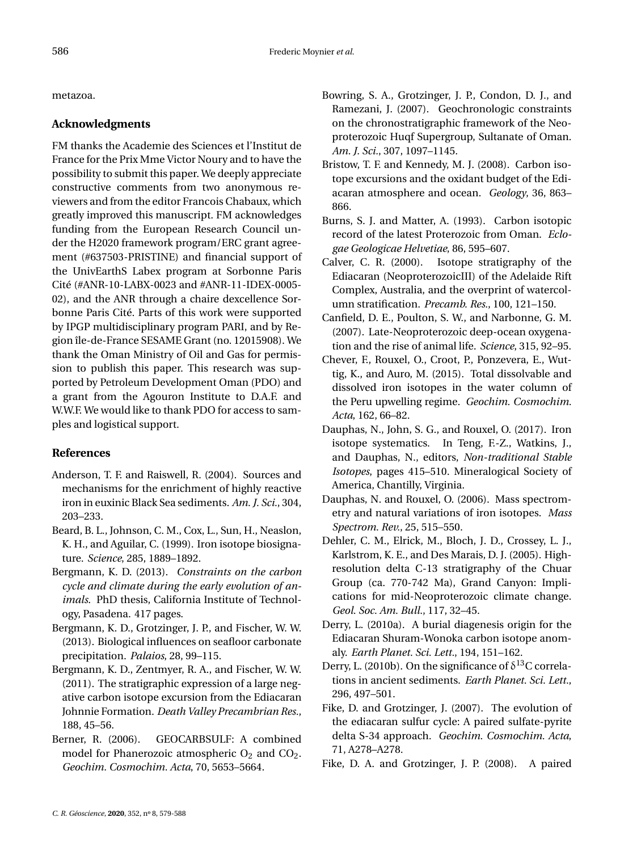metazoa.

#### **Acknowledgments**

FM thanks the Academie des Sciences et l'Institut de France for the Prix Mme Victor Noury and to have the possibility to submit this paper. We deeply appreciate constructive comments from two anonymous reviewers and from the editor Francois Chabaux, which greatly improved this manuscript. FM acknowledges funding from the European Research Council under the H2020 framework program/ERC grant agreement (#637503-PRISTINE) and financial support of the UnivEarthS Labex program at Sorbonne Paris Cité (#ANR-10-LABX-0023 and #ANR-11-IDEX-0005- 02), and the ANR through a chaire dexcellence Sorbonne Paris Cité. Parts of this work were supported by IPGP multidisciplinary program PARI, and by Region île-de-France SESAME Grant (no. 12015908). We thank the Oman Ministry of Oil and Gas for permission to publish this paper. This research was supported by Petroleum Development Oman (PDO) and a grant from the Agouron Institute to D.A.F. and W.W.F. We would like to thank PDO for access to samples and logistical support.

#### **References**

- <span id="page-8-13"></span>Anderson, T. F. and Raiswell, R. (2004). Sources and mechanisms for the enrichment of highly reactive iron in euxinic Black Sea sediments. *Am. J. Sci.*, 304, 203–233.
- <span id="page-8-6"></span>Beard, B. L., Johnson, C. M., Cox, L., Sun, H., Neaslon, K. H., and Aguilar, C. (1999). Iron isotope biosignature. *Science*, 285, 1889–1892.
- <span id="page-8-14"></span>Bergmann, K. D. (2013). *Constraints on the carbon cycle and climate during the early evolution of animals*. PhD thesis, California Institute of Technology, Pasadena. 417 pages.
- <span id="page-8-15"></span>Bergmann, K. D., Grotzinger, J. P., and Fischer, W. W. (2013). Biological influences on seafloor carbonate precipitation. *Palaios*, 28, 99–115.
- <span id="page-8-5"></span>Bergmann, K. D., Zentmyer, R. A., and Fischer, W. W. (2011). The stratigraphic expression of a large negative carbon isotope excursion from the Ediacaran Johnnie Formation. *Death Valley Precambrian Res.*, 188, 45–56.
- <span id="page-8-17"></span>Berner, R. (2006). GEOCARBSULF: A combined model for Phanerozoic atmospheric  $O_2$  and  $CO_2$ . *Geochim. Cosmochim. Acta*, 70, 5653–5664.
- <span id="page-8-11"></span>Bowring, S. A., Grotzinger, J. P., Condon, D. J., and Ramezani, J. (2007). Geochronologic constraints on the chronostratigraphic framework of the Neoproterozoic Huqf Supergroup, Sultanate of Oman. *Am. J. Sci.*, 307, 1097–1145.
- <span id="page-8-18"></span>Bristow, T. F. and Kennedy, M. J. (2008). Carbon isotope excursions and the oxidant budget of the Ediacaran atmosphere and ocean. *Geology*, 36, 863– 866.
- <span id="page-8-1"></span>Burns, S. J. and Matter, A. (1993). Carbon isotopic record of the latest Proterozoic from Oman. *Eclogae Geologicae Helvetiae*, 86, 595–607.
- <span id="page-8-4"></span>Calver, C. R. (2000). Isotope stratigraphy of the Ediacaran (NeoproterozoicIII) of the Adelaide Rift Complex, Australia, and the overprint of watercolumn stratification. *Precamb. Res.*, 100, 121–150.
- <span id="page-8-0"></span>Canfield, D. E., Poulton, S. W., and Narbonne, G. M. (2007). Late-Neoproterozoic deep-ocean oxygenation and the rise of animal life. *Science*, 315, 92–95.
- <span id="page-8-7"></span>Chever, F., Rouxel, O., Croot, P., Ponzevera, E., Wuttig, K., and Auro, M. (2015). Total dissolvable and dissolved iron isotopes in the water column of the Peru upwelling regime. *Geochim. Cosmochim. Acta*, 162, 66–82.
- <span id="page-8-8"></span>Dauphas, N., John, S. G., and Rouxel, O. (2017). Iron isotope systematics. In Teng, F.-Z., Watkins, J., and Dauphas, N., editors, *Non-traditional Stable Isotopes*, pages 415–510. Mineralogical Society of America, Chantilly, Virginia.
- <span id="page-8-9"></span>Dauphas, N. and Rouxel, O. (2006). Mass spectrometry and natural variations of iron isotopes. *Mass Spectrom. Rev.*, 25, 515–550.
- <span id="page-8-12"></span>Dehler, C. M., Elrick, M., Bloch, J. D., Crossey, L. J., Karlstrom, K. E., and Des Marais, D. J. (2005). Highresolution delta C-13 stratigraphy of the Chuar Group (ca. 770-742 Ma), Grand Canyon: Implications for mid-Neoproterozoic climate change. *Geol. Soc. Am. Bull.*, 117, 32–45.
- <span id="page-8-2"></span>Derry, L. (2010a). A burial diagenesis origin for the Ediacaran Shuram-Wonoka carbon isotope anomaly. *Earth Planet. Sci. Lett.*, 194, 151–162.
- <span id="page-8-3"></span>Derry, L. (2010b). On the significance of  $\delta^{13}$ C correlations in ancient sediments. *Earth Planet. Sci. Lett.*, 296, 497–501.
- <span id="page-8-16"></span>Fike, D. and Grotzinger, J. (2007). The evolution of the ediacaran sulfur cycle: A paired sulfate-pyrite delta S-34 approach. *Geochim. Cosmochim. Acta*, 71, A278–A278.
- <span id="page-8-10"></span>Fike, D. A. and Grotzinger, J. P. (2008). A paired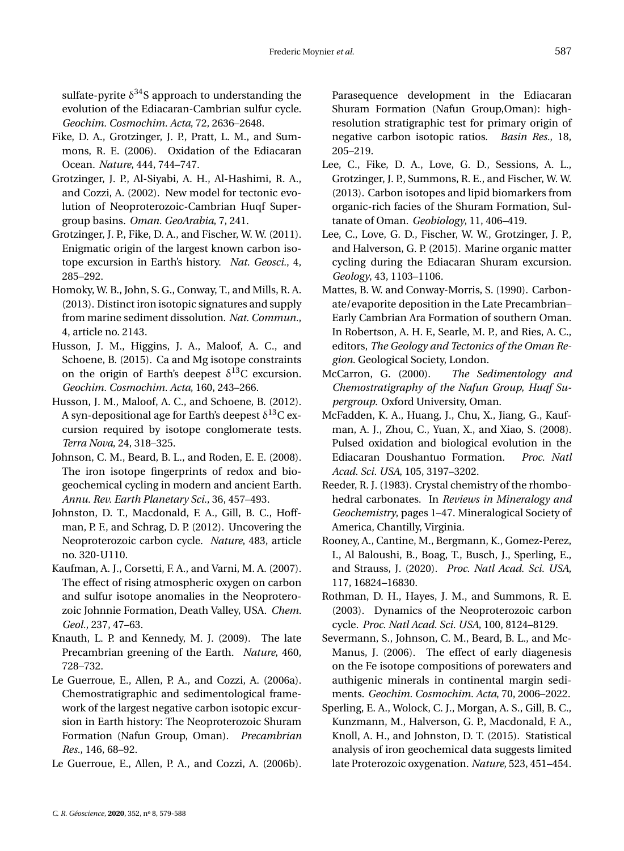sulfate-pyrite  $\delta^{34}$ S approach to understanding the evolution of the Ediacaran-Cambrian sulfur cycle. *Geochim. Cosmochim. Acta*, 72, 2636–2648.

- <span id="page-9-0"></span>Fike, D. A., Grotzinger, J. P., Pratt, L. M., and Summons, R. E. (2006). Oxidation of the Ediacaran Ocean. *Nature*, 444, 744–747.
- <span id="page-9-13"></span>Grotzinger, J. P., Al-Siyabi, A. H., Al-Hashimi, R. A., and Cozzi, A. (2002). New model for tectonic evolution of Neoproterozoic-Cambrian Huqf Supergroup basins. *Oman. GeoArabia*, 7, 241.
- <span id="page-9-2"></span>Grotzinger, J. P., Fike, D. A., and Fischer, W. W. (2011). Enigmatic origin of the largest known carbon isotope excursion in Earth's history. *Nat. Geosci.*, 4, 285–292.
- <span id="page-9-10"></span>Homoky, W. B., John, S. G., Conway, T., and Mills, R. A. (2013). Distinct iron isotopic signatures and supply from marine sediment dissolution. *Nat. Commun.*, 4, article no. 2143.
- <span id="page-9-9"></span>Husson, J. M., Higgins, J. A., Maloof, A. C., and Schoene, B. (2015). Ca and Mg isotope constraints on the origin of Earth's deepest  $\delta^{13}$ C excursion. *Geochim. Cosmochim. Acta*, 160, 243–266.
- <span id="page-9-8"></span>Husson, J. M., Maloof, A. C., and Schoene, B. (2012). A syn-depositional age for Earth's deepest  $\delta^{13}\mathrm{C}$  excursion required by isotope conglomerate tests. *Terra Nova*, 24, 318–325.
- <span id="page-9-11"></span>Johnson, C. M., Beard, B. L., and Roden, E. E. (2008). The iron isotope fingerprints of redox and biogeochemical cycling in modern and ancient Earth. *Annu. Rev. Earth Planetary Sci.*, 36, 457–493.
- <span id="page-9-17"></span>Johnston, D. T., Macdonald, F. A., Gill, B. C., Hoffman, P. F., and Schrag, D. P. (2012). Uncovering the Neoproterozoic carbon cycle. *Nature*, 483, article no. 320-U110.
- <span id="page-9-5"></span>Kaufman, A. J., Corsetti, F. A., and Varni, M. A. (2007). The effect of rising atmospheric oxygen on carbon and sulfur isotope anomalies in the Neoproterozoic Johnnie Formation, Death Valley, USA. *Chem. Geol.*, 237, 47–63.
- <span id="page-9-4"></span>Knauth, L. P. and Kennedy, M. J. (2009). The late Precambrian greening of the Earth. *Nature*, 460, 728–732.
- <span id="page-9-3"></span>Le Guerroue, E., Allen, P. A., and Cozzi, A. (2006a). Chemostratigraphic and sedimentological framework of the largest negative carbon isotopic excursion in Earth history: The Neoproterozoic Shuram Formation (Nafun Group, Oman). *Precambrian Res.*, 146, 68–92.
- <span id="page-9-16"></span>Le Guerroue, E., Allen, P. A., and Cozzi, A. (2006b).

Parasequence development in the Ediacaran Shuram Formation (Nafun Group,Oman): highresolution stratigraphic test for primary origin of negative carbon isotopic ratios. *Basin Res.*, 18, 205–219.

- <span id="page-9-6"></span>Lee, C., Fike, D. A., Love, G. D., Sessions, A. L., Grotzinger, J. P., Summons, R. E., and Fischer, W. W. (2013). Carbon isotopes and lipid biomarkers from organic-rich facies of the Shuram Formation, Sultanate of Oman. *Geobiology*, 11, 406–419.
- <span id="page-9-7"></span>Lee, C., Love, G. D., Fischer, W. W., Grotzinger, J. P., and Halverson, G. P. (2015). Marine organic matter cycling during the Ediacaran Shuram excursion. *Geology*, 43, 1103–1106.
- <span id="page-9-14"></span>Mattes, B. W. and Conway-Morris, S. (1990). Carbonate/evaporite deposition in the Late Precambrian– Early Cambrian Ara Formation of southern Oman. In Robertson, A. H. F., Searle, M. P., and Ries, A. C., editors, *The Geology and Tectonics of the Oman Region*. Geological Society, London.
- <span id="page-9-15"></span>McCarron, G. (2000). *The Sedimentology and Chemostratigraphy of the Nafun Group, Huqf Supergroup*. Oxford University, Oman.
- <span id="page-9-1"></span>McFadden, K. A., Huang, J., Chu, X., Jiang, G., Kaufman, A. J., Zhou, C., Yuan, X., and Xiao, S. (2008). Pulsed oxidation and biological evolution in the Ediacaran Doushantuo Formation. *Proc. Natl Acad. Sci. USA*, 105, 3197–3202.
- <span id="page-9-12"></span>Reeder, R. J. (1983). Crystal chemistry of the rhombohedral carbonates. In *Reviews in Mineralogy and Geochemistry*, pages 1–47. Mineralogical Society of America, Chantilly, Virginia.
- <span id="page-9-20"></span>Rooney, A., Cantine, M., Bergmann, K., Gomez-Perez, I., Al Baloushi, B., Boag, T., Busch, J., Sperling, E., and Strauss, J. (2020). *Proc. Natl Acad. Sci. USA*, 117, 16824–16830.
- <span id="page-9-19"></span>Rothman, D. H., Hayes, J. M., and Summons, R. E. (2003). Dynamics of the Neoproterozoic carbon cycle. *Proc. Natl Acad. Sci. USA*, 100, 8124–8129.
- <span id="page-9-18"></span>Severmann, S., Johnson, C. M., Beard, B. L., and Mc-Manus, J. (2006). The effect of early diagenesis on the Fe isotope compositions of porewaters and authigenic minerals in continental margin sediments. *Geochim. Cosmochim. Acta*, 70, 2006–2022.
- <span id="page-9-21"></span>Sperling, E. A., Wolock, C. J., Morgan, A. S., Gill, B. C., Kunzmann, M., Halverson, G. P., Macdonald, F. A., Knoll, A. H., and Johnston, D. T. (2015). Statistical analysis of iron geochemical data suggests limited late Proterozoic oxygenation. *Nature*, 523, 451–454.